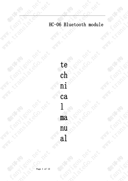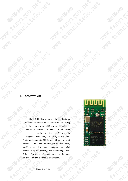### I. Overview

Ý.

Î.

r

í

l,

Fant

**BILBIA** 

The HC-06 Bluetooth module is designed for smart wireless data transmission, using the British company CSR company BlueCore4- Ext chip, follow V2.0+EDR blue tooth regulation Van . This module supports UART, USB, SPI, PCM, SPDIF, etc. Port, and supports SPP Bluetooth serial port protocol, has the advantages of low cost,<br>small size, low power consumption, high<br>sensitivity of sending and receiving, etc.<br>Only a few external components can be used<br>to realize its powerful functions.<br>Page 2 of 12 small size, low power consumption, high<br>sensitivity of sending and receiving, etc.<br>Only a few external components can be used<br>to realize its powerful functions.<br>Page 2 of 12 sensitivity of sending and receiving, etc. Only a few external components can be used to realize its powerful functions.

**PRX** 

**PRIX** 



**POX** 

MAN - TO BOOM

**MARY SORTAN** 

**PART 11901** 

**Rantingon** 

**CARBAY** 

**RODIN** 

con

**MAN CONSIDERATION** 

MAN - TO BOOM POL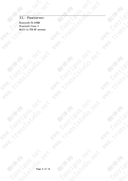**Pex** 

**PRIX** 

MAN - COLLEGE REPORT

MAN TO BOOM WAS

**With the Bandy Doctor** 

**ANAL FRANCISCO - REAL FRANCISCO - REAL FRANCISCO - REAL FRANCISCO - REAL FRANCISCO - REAL FRANCISCO - REAL FRA** 

**Fasting de Co.** 

**PATROLLON ROLL** 

**ANALL SORIES MANUSCRY ROLL PARTY.** 

**WAMA KAMPS ROLL PORT** 

都然入

**MARY SORTAL** 

80年1月

**AMA: CONSOR AMA** 

**MARIA SCRIPTION** 

都想大人

**AMA: LEON DES** 

**MARIA SCRANTISTICS** 

都林水

**Rapides** 

II. Features:<br>
Bluetooth V2.0+EDR<br>
Bluetooth Class 2<br>
Built-in PCB RF Bluetooth V2.0+EDR Bluetooth Class 2 Built-in PCB RF antenna

MAN KORSTON ROLL

MAN - CONSOR BANK

都永方

**ANALL BOOK TOOL BOOK** 

**AMA ELISABETH MAN ROLL TON ROLL 100 AMA**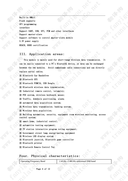Built-in 8Mbit Flash supports SPI programming interface Support UART, USB, SPI, PCM and other interfaces Support master-slave Support software to control master-slave module 3.3V power supply REACH, ROHS certification

### III. Application areas:

This module is mainly used for short-range wireless data transmission. It can be easily connected to a PC's Bluetooth device, or data can be exchanged between the two modules. Avoid cumbersome cable connections and can directly replace serial cables.

※ Bluetooth Car Handsfree

※ Bluetooth GPS

※ Bluetooth PCMCIA, USB Dongle

※ Bluetooth wireless data transmission;

※ Industrial remote control, telemetry;

※ POS system, wireless keyboard, mouse;

※ Traffic, downhole positioning, alarm;

※ automated data acquisition system;

※ Wireless data transmission; banking system;

※ Wireless data acquisition;

※ Building automation, security, equipment room wireless monitoring, access control system;

※ smart home, industrial control;

※ automotive testing equipment;

※ TV station interactive program voting equipment;

※ Government street lamp energy-saving equipment

※ Wireless LED display system

※ Bluetooth joystick, Bluetooth game controller

※ Bluetooth printer

※ Bluetooth Remote Control Toy

### Four. Physical characteristics:

Operating Frequency Band 2.4GHz -2.48GHz unlicensed ISM band

Page 4 of 12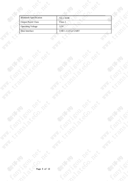| <b>Bluetooth Specification</b> | $V2.1+EDR$                 |  |
|--------------------------------|----------------------------|--|
| <b>Output Power Class</b>      | Class 2                    |  |
| <b>Operating Voltage</b>       | 3.3V                       |  |
| Host Interface                 | <b>USB 1.1/2.0 or UART</b> |  |
|                                |                            |  |

MAN TO BOOM WAS

MAN - TO BOOM WAS

**ANALL SOLUTION AND MANALL ROLL PORT** 

**Fasting de Co.** 

都然少

**MANGOL ROLL** 

**AMAR ESTATION TON ROLL PORT** 

都办大人

**MAN TO BOOM ASS** 

**MARIA SCRIPTION** 

都想个人

**WANN - REPAIR MAN** 

**MARIA SCRIPTION** 

都我大

**Rantiment** 

**WAN TO BOOM BOOM POLY** 

**WAN TO BOOM BOOM POLY** 

都林的

**WARE RESIDENCE** 

**WARE RESERVED TO MARK**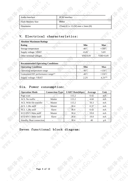| Audio Interface          | PCM interface                    |  |
|--------------------------|----------------------------------|--|
| <b>Flash Memory Size</b> | 8Mbit                            |  |
| Dimension                | $27mm$ (L) x 13 (W) mm x 2mm (H) |  |
|                          |                                  |  |

O. Rex

ATC

CA PATAMA

# Electrical characteristics:

O- Pax

| <b>Absolute Maximum Ratings</b> |                 |                  |
|---------------------------------|-----------------|------------------|
| <b>Rating</b>                   | Min             | <b>Max</b>       |
| Storage temperature             | -40 $\degree$ C | $+150^{\circ}$ C |
| Supply voltage: VBAT            | $-0.4V$         | 5.6V             |
| Other terminal voltages         | $VSS-0.4V$      | $VDD+0.4V$       |
|                                 |                 |                  |

| <b>Recommended Operating Conditions</b>        |                 |                  |
|------------------------------------------------|-----------------|------------------|
| <b>Operating Condition</b>                     | Min             | Max              |
| Operating temperature range                    | $-40^{\circ}$ C | $+150^{\circ}$ C |
| Guaranteed RF performance range <sup>(a)</sup> | $-40^{\circ}$ C | +150 $\degree$ C |
| Supply voltage: VBAT                           | 2.2V            | $\Delta$ $2V(b)$ |

# Six. Power consumption:

Ž

**RODENT** 

 $\mathcal{S}$ 

| <b>Operation Mode</b>          | <b>Connection Type</b> | <b>UART Rate(kbps)</b> | Average | Unit |
|--------------------------------|------------------------|------------------------|---------|------|
| Page scan                      |                        | 115.2                  | 0.42    | mA   |
| <b>ACL</b> No traffic          | <b>Master</b>          | 115.2                  | 4.60    | mA   |
| ACL With file transfer         | Master                 | 115.2                  | 10.3    | mA   |
| ACL 1.28s sniff                | Master                 | 38.4                   | 0.37    | mA   |
| ACL 1.28s sniff                | Slave                  | 38.4                   | 0.42    | mA   |
| SCO HV3 30ms sniff             | Master                 | 38.4                   | 19.8    | mA   |
| SCO HV3 30ms sniff             | Slave                  | 38.4                   | 19.0    | mA   |
| <b>Standby Host connection</b> |                        | 38.4                   | 40      | μA   |
|                                |                        |                        |         |      |

# Seven functional block diagram: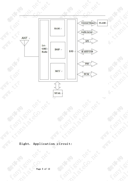

**PRAX** 

Leo

**BONTA**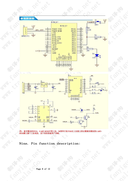参考原理图  $S1$ BCM\_LV WAKEUP ਠ KEY BCM LV  $3.3V$  $T1$ R<sub>3</sub> 34 **UART TND**  $PIO11$  $\mathbf{1}$ GPS OUT  $2.2K$ 33 **UART RND PIO10**  $\overline{2}$  $\overline{32}$  $\overline{\mathbf{3}}$ CTS PIO9  $\overline{31}$ **RTS** PIO<sub>8</sub>  $R<sub>2</sub>$  $GPS(3.3V)$ 30 PCM CLK PIO7 29 PCM\_OUT  $10K$ PIO<sub>6</sub>  $\frac{28}{27}$ <br> $\frac{27}{26}$ PCM\_IN PIO5  $\mathcal{R}$ PCM SYNC PIO<sub>4</sub>  $\overline{9}$ PIO3  $AIOO$  $rac{25}{24}$  $10$ AIO1 PIO<sub>2</sub>  $R1$ 11 RESET PIO1 23  $12$  $470$  $3.3V$  $3.3V$ PIO0  $13$  $\overline{22}$ GND GND  $\overline{D1}$ **ABRANCE**<br>**ABRANCE**<br> **ABRANCE**  $=$ LED  $14$  $\circ$ KEY  $BC=06$ 



蓝牙模块的PIN2: UART-RXD不带上拉, 如果单片机TXD无上拉能力的话需要在模块的UART-注: RXD脚上接个上拉电阻,这个很容易被用户忽略。

**Rapy** 

# Nine. Pin function description:

Î.

**ROPLA** 

IRS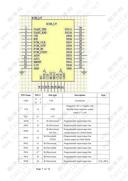|                                                                                                                                                 | Per<br>RX                                                                                                                                                                          |                                                                                                                                                                                                                 | PRI<br>RX |                 |
|-------------------------------------------------------------------------------------------------------------------------------------------------|------------------------------------------------------------------------------------------------------------------------------------------------------------------------------------|-----------------------------------------------------------------------------------------------------------------------------------------------------------------------------------------------------------------|-----------|-----------------|
| $\mathbf{1}$<br>$\overline{\mathbf{2}}$<br>$\overline{3}$<br>$\ddot{\bf 4}$<br>5<br>6<br>$\overline{7}$<br>$\rm 8$<br>9<br>10<br>11<br>12<br>13 | BCM_LV<br>BCM_LV<br><b>UART_TXD</b><br><b>UART_RXD</b><br>CTS<br><b>RTS</b><br>PCM_CLK<br>PCM_OUT<br>PCM_IN<br>PCM_SYNC<br>AI00<br>AI01<br>RESET<br>33V<br>GND<br><b>PESSECTES</b> | 34<br><b>PIO11</b><br>33<br>PI010<br>32<br>PI09<br>31<br><b>PIO8</b><br>30<br>PI07<br>29<br>PI06<br>28<br>PIOS<br>27<br><b>PIO4</b><br>26<br>PI03<br>25<br>PI02<br>24<br>PIO1<br>23<br><b>PIO0</b><br>22<br>GMD |           | <b>Lairy Ch</b> |

| <b>ENSERERE</b> |  |  |  |  |
|-----------------|--|--|--|--|
|                 |  |  |  |  |

| <b>PIN Name</b>  | PIN#                            | Pad type                              | <b>Description</b>                                                                    | <b>Note</b>    |
|------------------|---------------------------------|---------------------------------------|---------------------------------------------------------------------------------------|----------------|
| <b>GND</b>       | 13<br>2<br>$\overline{2}$<br>21 | <b>VSS</b>                            | Ground pot                                                                            |                |
| 1V8              | 14                              | <b>VDD</b>                            | Integrated 1.8V (+) supply with<br>On-chip linear regulator output<br>within 1.7-1.9V |                |
| <b>VCC</b>       | 12                              | 3.3V                                  |                                                                                       |                |
| AIO0             | 9                               | <b>Bi-Directional</b>                 | Programmable input/output line                                                        |                |
| AIO1             | 10                              | <b>Bi-Directional</b>                 | Programmable input/output line                                                        |                |
| PIO <sub>0</sub> | 23                              | <b>Bi-Directional</b><br><b>RX EN</b> | Programmable input/output line<br>control output for LNA(if fitted)                   |                |
| PIO1             | 24                              | <b>Bi-Directional</b><br>TX EN        | Programmable input/output line<br>control output for PA(if fitted)                    |                |
| PIO <sub>2</sub> | 25                              | <b>Bi-Directional</b>                 | Programmable input/output line                                                        |                |
| PIO <sub>3</sub> | 26                              | <b>Bi-Directional</b>                 | Programmable input/output line                                                        |                |
| PIO <sub>4</sub> | 27                              | <b>Bi-Directional</b>                 | Programmable input/output line                                                        |                |
| PIO <sub>5</sub> | 28                              | <b>Bi-Directional</b>                 | Programmable input/output line                                                        |                |
| PIO <sub>6</sub> | 29                              | <b>Bi-Directional</b>                 | Programmable input/output line                                                        | <b>CLK_REQ</b> |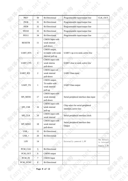| PIO7             | 30             | <b>Bi-Directional</b>                                       | Programmable input/output line                             | CLK_OUT                                   |
|------------------|----------------|-------------------------------------------------------------|------------------------------------------------------------|-------------------------------------------|
| PIO <sub>8</sub> | 31             | <b>Bi-Directional</b>                                       | Programmable input/output line                             |                                           |
| PIO <sub>9</sub> | 32             | <b>Bi-Directional</b>                                       | Programmable input/output line                             |                                           |
| <b>PIO10</b>     | 33             | <b>Bi-Directional</b>                                       | Programmable input/output line                             |                                           |
| <b>PIO11</b>     | 34             | <b>Bi-Directional</b>                                       | Programmable input/output line                             |                                           |
| <b>RESETB</b>    | 11             | <b>CMOS</b> Input with<br>weak intemal<br>pull-down         |                                                            |                                           |
| <b>UART_RTS</b>  |                | CMOS output,<br>tri-stable with weak<br>internal pull-up    | UART r qu st to send, active low                           |                                           |
| <b>UART_CTS</b>  | 3              | CMOS input with<br>weak interna<br>pull-down                | UART clear to send, active low                             |                                           |
| <b>UART_RX</b>   | $\overline{2}$ | CMOS input wit<br>weak internal<br>pull-down                | <b>UART</b> Data input                                     |                                           |
| <b>UART_TX</b>   | $\mathbf{1}$   | CMOS output,<br>Tri-stable with<br>weak internal<br>pull-up | <b>UART</b> Data output                                    |                                           |
| SPL_MOSI         | $\frac{1}{2}$  | CMOS input with<br>weak internal<br>pull-down               | Serial peripheral interface data input                     |                                           |
| SPI_CSB          | 16             | CMOS input with<br>weak internal<br>pull-up                 | Chip select for serial peripheral<br>interface, active low |                                           |
| SPI_CLK          | 19             | CMOS input with<br>weak internal                            | Serial peripheral interface clock                          |                                           |
| SPI_MISO         | $18\,$         | CMOS input with<br>weak internal<br>pull-down               | Serial peripheral interface data<br>Output                 |                                           |
| USB_-            | 15             | <b>Bi-Directional</b>                                       |                                                            |                                           |
| $USB_{+}$        | 20             | <b>Bi-Directional</b>                                       |                                                            |                                           |
| $1.8\mathrm{V}$  | 14             |                                                             | Externally powered 1.8V                                    | The default<br>is internal<br>Supply 1.8V |
| PCM_CLK          | 5 <sub>1</sub> | <b>Bi-Directional</b>                                       |                                                            |                                           |
| PCM_OUT          | 6              | <b>CMOS</b> output                                          |                                                            |                                           |
| PCM_IN           | $\overline{7}$ | <b>CMOS</b> Input                                           |                                                            |                                           |
| PCM_SYNC         | 8              | <b>Bi-Directional</b>                                       |                                                            |                                           |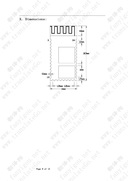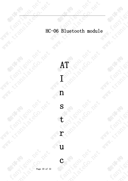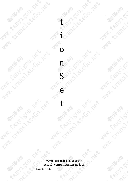**ANTAL SCRAPTER ASSESSMENT ROLL PORT AMA: TO BOOM** t **MARIA SORRAN** i **WANNA REPAIR MENT WARRANTED TO MARK ROW ROW ASH AND TON CO.** NATA PASSAGE CO. NO. 1991 **O** 83% 19 **ANTA - LI BOOT**  $\mathbf{n}$ **MARIA SORRAN** S e **PARTIES 11 POLICE - 12 POLICE - 12 POLICE - 12 POLICE - 12 POLICE - 12 POLICE - 12 POLICE - 12 POLICE - 12 POLICE - 12 POLICE - 12 POLICE - 12 POLICE - 12 POLICE - 12 POLICE - 12 POLICE - 12 POLICE - 12 POLICE - 12 POLICE WAN - LI BOOT ASS ASS MARY SORTAL** .<br>S í. **Rox**  $HC-$ <br>  $Peria$ <br>  $Page 11 of 12$ **Rantiment** HC-06 embedded Bluetooth serial communication module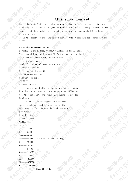### AT instruction set

For HC-06 host, WAKEUP will give up memory after pressing and search for new slaves again. If you do not give up memory, the host will always search for the last paired slave until it is found and pairing is successful. HC- 06 hosts have a feature

It is the memory of the last paired slave. WAKEUP does not make sense for the slave.

### Enter the AT command method:

Powering on the module, without pairing, is the AT mode. The command interval is about 1S factory parameters: baud rate 9600N81, name HC-06, password 1234 .eo. 1, test communication Send: AT (return OK, send once every second) Return: OK 2. Change the Bluetooth serial communication baud rate to send: AT+BAUD1 Returns: OK1200 Cannot be used after the setting exceeds 115200.

Use the microcontroller to program above 115200 to use this baud rate and retry AT command to set low Silet Revise baud rate

use AT After the command sets the baud rate, it will not need to be re-set for the next power-up. You can save the baud rate after power-off. Example: Send:

AT+BAUD2 Back: OK2400

……

1---------1200 2---------2400 3---------4800 4---------9600 (default is this setting) 5---------19200 6---------38400 7---------57600 8---------115200 9---------230400 A---------460800 B---------921600 C---------1382400

Page 12 of 12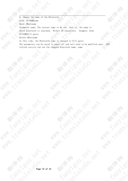3, change the name of the Bluetooth Send: AT+NAMEname Back: OKsetname Parameter name: The current name to be set, that is, the name to which Bluetooth is searched. Within 20 characters. Example: Send

AT+NAMEbill\_gates

Return OKsetname

MARIA SORIAL ROLL ROLL

At this time, the Bluetooth name is changed to bill gates

The parameters can be saved in power-off and only need to be modified once. PDA<br>refresh service can see the changed Bluetooth name, name<br> $\frac{1}{2}$ <br> $\frac{1}{2}$ <br> $\frac{1}{2}$ <br> $\frac{1}{2}$ <br> $\frac{1}{2}$ <br> $\frac{1}{2}$ <br> $\frac{1}{2}$ <br> $\frac{1}{2}$ <br> $\frac{1$ refresh service can see the changed Bluetooth name, name

MAN - LT BOOM POL

**WARWAY ROW TON BARWAY ARMS** 

**PATROLLONGAN** 

**Fasting Brack** 

**BARKACCI** 

CL Camps

**RODENTIALS** 

**MARY SORRANT** 

**MAN LISONER** 

**MARIA SORRANTS** 

**RODIN** 

**PRAX**